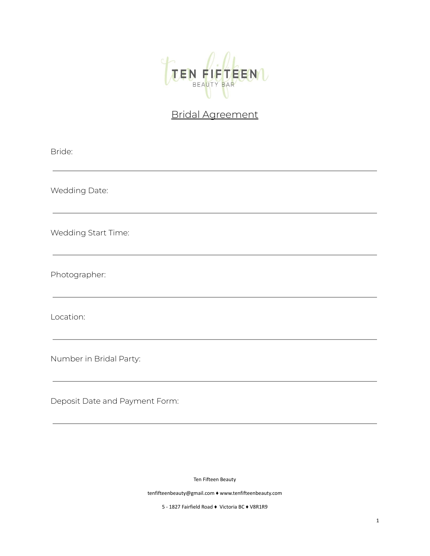

## Bridal Agreement

| Bride:                         |  |
|--------------------------------|--|
| Wedding Date:                  |  |
| Wedding Start Time:            |  |
| Photographer:                  |  |
| Location:                      |  |
| Number in Bridal Party:        |  |
| Deposit Date and Payment Form: |  |

Ten Fifteen Beauty

tenfifteenbeauty@gmail.com ♦ www.tenfifteenbeauty.com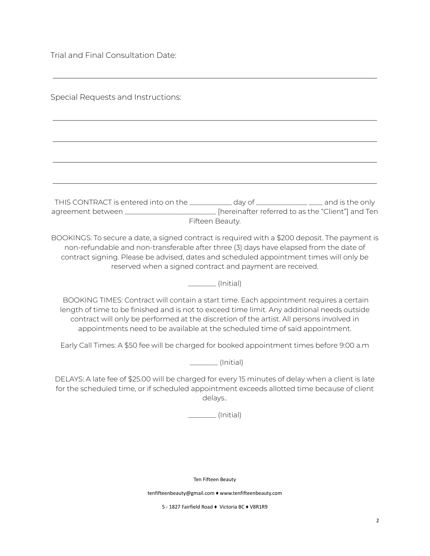Trial and Final Consultation Date:

Special Requests and Instructions:

THIS CONTRACT is entered into on the \_\_\_\_\_\_\_\_\_\_\_\_ day of \_\_\_\_\_\_\_\_\_\_\_\_\_\_, \_\_\_\_ and is the only agreement between \_\_\_\_\_\_\_\_\_\_\_\_\_\_\_\_\_\_\_\_\_\_\_\_\_\_\_ [hereinafter referred to as the "Client"] and Ten Fifteen Beauty.

BOOKINGS: To secure a date, a signed contract is required with a \$200 deposit. The payment is non-refundable and non-transferable after three (3) days have elapsed from the date of contract signing. Please be advised, dates and scheduled appointment times will only be reserved when a signed contract and payment are received.

\_\_\_\_\_\_\_\_ (Initial)

BOOKING TIMES: Contract will contain a start time. Each appointment requires a certain length of time to be finished and is not to exceed time limit. Any additional needs outside contract will only be performed at the discretion of the artist. All persons involved in appointments need to be available at the scheduled time of said appointment.

Early Call Times: A \$50 fee will be charged for booked appointment times before 9:00 a.m

\_\_\_\_\_\_\_\_ (Initial)

DELAYS: A late fee of \$25.00 will be charged for every 15 minutes of delay when a client is late for the scheduled time, or if scheduled appointment exceeds allotted time because of client delays..

\_\_\_\_\_\_\_\_ (Initial)

Ten Fifteen Beauty

tenfifteenbeauty@gmail.com ♦ www.tenfifteenbeauty.com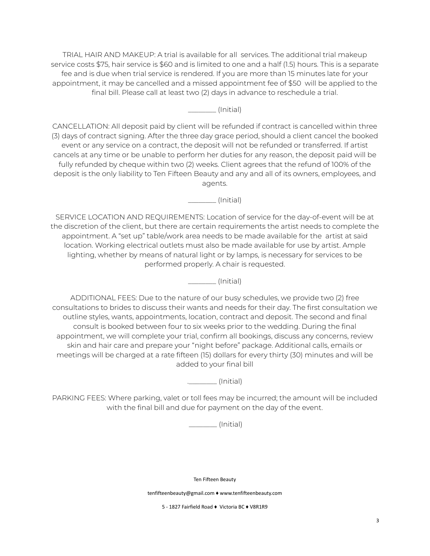TRIAL HAIR AND MAKEUP: A trial is available for all services. The additional trial makeup service costs \$75, hair service is \$60 and is limited to one and a half (1.5) hours. This is a separate fee and is due when trial service is rendered. If you are more than 15 minutes late for your appointment, it may be cancelled and a missed appointment fee of \$50 will be applied to the final bill. Please call at least two (2) days in advance to reschedule a trial.

\_\_\_\_\_\_\_\_ (Initial)

CANCELLATION: All deposit paid by client will be refunded if contract is cancelled within three (3) days of contract signing. After the three day grace period, should a client cancel the booked event or any service on a contract, the deposit will not be refunded or transferred. If artist cancels at any time or be unable to perform her duties for any reason, the deposit paid will be fully refunded by cheque within two (2) weeks. Client agrees that the refund of 100% of the deposit is the only liability to Ten Fifteen Beauty and any and all of its owners, employees, and agents.

\_\_\_\_\_\_\_\_ (Initial)

SERVICE LOCATION AND REQUIREMENTS: Location of service for the day-of-event will be at the discretion of the client, but there are certain requirements the artist needs to complete the appointment. A "set up" table/work area needs to be made available for the artist at said location. Working electrical outlets must also be made available for use by artist. Ample lighting, whether by means of natural light or by lamps, is necessary for services to be performed properly. A chair is requested.

\_\_\_\_\_\_\_\_ (Initial)

ADDITIONAL FEES: Due to the nature of our busy schedules, we provide two (2) free consultations to brides to discuss their wants and needs for their day. The first consultation we outline styles, wants, appointments, location, contract and deposit. The second and final consult is booked between four to six weeks prior to the wedding. During the final appointment, we will complete your trial, confirm all bookings, discuss any concerns, review skin and hair care and prepare your "night before" package. Additional calls, emails or meetings will be charged at a rate fifteen (15) dollars for every thirty (30) minutes and will be added to your final bill

.\_\_\_\_\_\_\_\_ (Initial)

PARKING FEES: Where parking, valet or toll fees may be incurred; the amount will be included with the final bill and due for payment on the day of the event.

\_\_\_\_\_\_\_\_ (Initial)

Ten Fifteen Beauty

tenfifteenbeauty@gmail.com ♦ www.tenfifteenbeauty.com